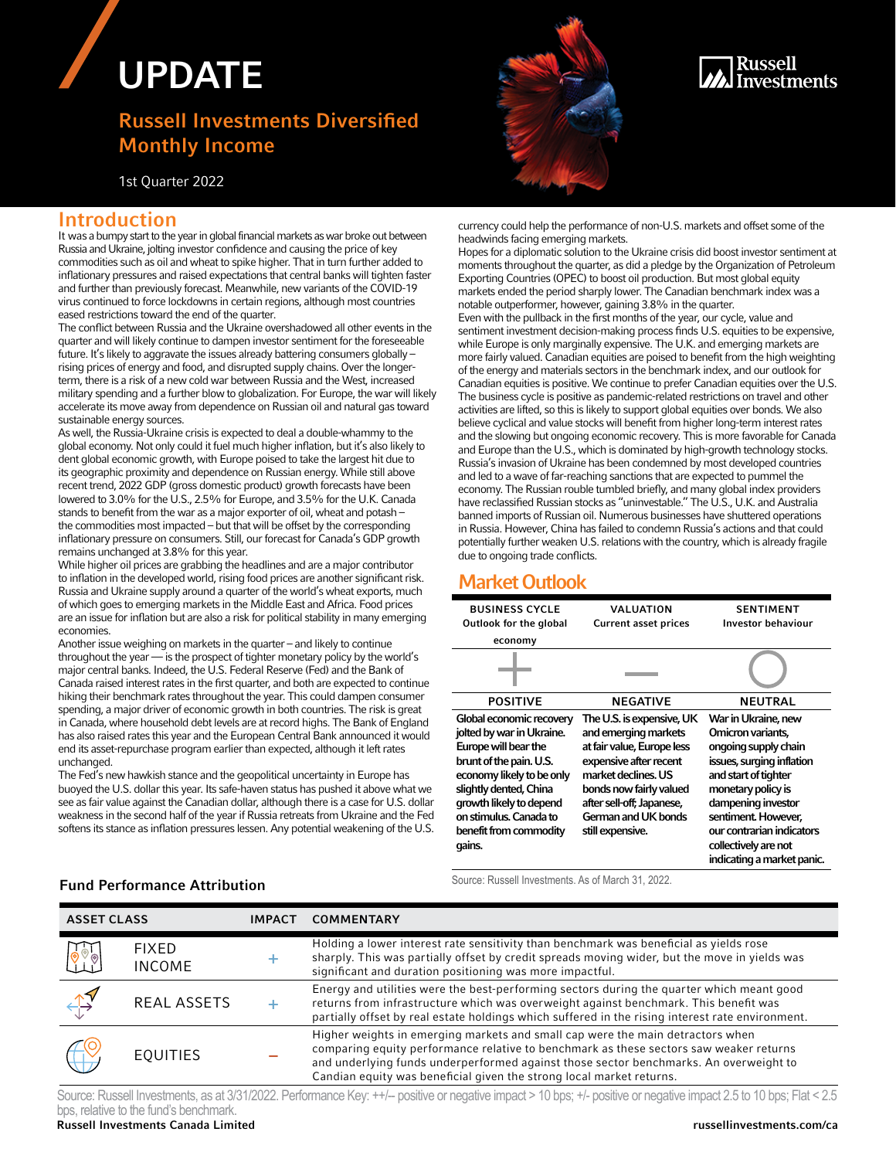# UPDATE

# Russell Investments Diversified Monthly Income

It was a bumpy start to the year in global financial markets as war broke out between Russia and Ukraine, jolting investor confidence and causing the price of key commodities such as oil and wheat to spike higher. That in turn further added to inflationary pressures and raised expectations that central banks will tighten faster and further than previously forecast. Meanwhile, new variants of the COVID-19 virus continued to force lockdowns in certain regions, although most countries

The conflict between Russia and the Ukraine overshadowed all other events in the quarter and will likely continue to dampen investor sentiment for the foreseeable future. It's likely to aggravate the issues already battering consumers globally – rising prices of energy and food, and disrupted supply chains. Over the longerterm, there is a risk of a new cold war between Russia and the West, increased military spending and a further blow to globalization. For Europe, the war will likely accelerate its move away from dependence on Russian oil and natural gas toward

As well, the Russia-Ukraine crisis is expected to deal a double-whammy to the global economy. Not only could it fuel much higher inflation, but it's also likely to dent global economic growth, with Europe poised to take the largest hit due to its geographic proximity and dependence on Russian energy. While still above recent trend, 2022 GDP (gross domestic product) growth forecasts have been lowered to 3.0% for the U.S., 2.5% for Europe, and 3.5% for the U.K. Canada stands to benefit from the war as a major exporter of oil, wheat and potash – the commodities most impacted – but that will be offset by the corresponding inflationary pressure on consumers. Still, our forecast for Canada's GDP growth

While higher oil prices are grabbing the headlines and are a major contributor to inflation in the developed world, rising food prices are another significant risk. Russia and Ukraine supply around a quarter of the world's wheat exports, much of which goes to emerging markets in the Middle East and Africa. Food prices are an issue for inflation but are also a risk for political stability in many emerging

Another issue weighing on markets in the quarter – and likely to continue throughout the year — is the prospect of tighter monetary policy by the world's major central banks. Indeed, the U.S. Federal Reserve (Fed) and the Bank of Canada raised interest rates in the first quarter, and both are expected to continue hiking their benchmark rates throughout the year. This could dampen consumer spending, a major driver of economic growth in both countries. The risk is great in Canada, where household debt levels are at record highs. The Bank of England has also raised rates this year and the European Central Bank announced it would end its asset-repurchase program earlier than expected, although it left rates

The Fed's new hawkish stance and the geopolitical uncertainty in Europe has buoyed the U.S. dollar this year. Its safe-haven status has pushed it above what we see as fair value against the Canadian dollar, although there is a case for U.S. dollar weakness in the second half of the year if Russia retreats from Ukraine and the Fed softens its stance as inflation pressures lessen. Any potential weakening of the U.S.

1st Quarter 2022

eased restrictions toward the end of the quarter.

Introduction

sustainable energy sources.

economies.

unchanged.

remains unchanged at 3.8% for this year.

## Russell nvestments

currency could help the performance of non-U.S. markets and offset some of the headwinds facing emerging markets.

Hopes for a diplomatic solution to the Ukraine crisis did boost investor sentiment at moments throughout the quarter, as did a pledge by the Organization of Petroleum Exporting Countries (OPEC) to boost oil production. But most global equity markets ended the period sharply lower. The Canadian benchmark index was a notable outperformer, however, gaining 3.8% in the quarter. Even with the pullback in the first months of the year, our cycle, value and sentiment investment decision-making process finds U.S. equities to be expensive, while Europe is only marginally expensive. The U.K. and emerging markets are more fairly valued. Canadian equities are poised to benefit from the high weighting of the energy and materials sectors in the benchmark index, and our outlook for Canadian equities is positive. We continue to prefer Canadian equities over the U.S. The business cycle is positive as pandemic-related restrictions on travel and other activities are lifted, so this is likely to support global equities over bonds. We also believe cyclical and value stocks will benefit from higher long-term interest rates and the slowing but ongoing economic recovery. This is more favorable for Canada and Europe than the U.S., which is dominated by high-growth technology stocks. Russia's invasion of Ukraine has been condemned by most developed countries and led to a wave of far-reaching sanctions that are expected to pummel the economy. The Russian rouble tumbled briefly, and many global index providers have reclassified Russian stocks as "uninvestable." The U.S., U.K. and Australia banned imports of Russian oil. Numerous businesses have shuttered operations in Russia. However, China has failed to condemn Russia's actions and that could potentially further weaken U.S. relations with the country, which is already fragile due to ongoing trade conflicts.

## Market Outlook

| <b>BUSINESS CYCLE</b><br>Outlook for the global                                                                                                                                                                                                          | VALUATION<br><b>Current asset prices</b>                                                                                                                                                                                            | <b>SENTIMENT</b><br><b>Investor behaviour</b>                                                                                                                                                                                                                               |
|----------------------------------------------------------------------------------------------------------------------------------------------------------------------------------------------------------------------------------------------------------|-------------------------------------------------------------------------------------------------------------------------------------------------------------------------------------------------------------------------------------|-----------------------------------------------------------------------------------------------------------------------------------------------------------------------------------------------------------------------------------------------------------------------------|
| economy                                                                                                                                                                                                                                                  |                                                                                                                                                                                                                                     |                                                                                                                                                                                                                                                                             |
|                                                                                                                                                                                                                                                          |                                                                                                                                                                                                                                     |                                                                                                                                                                                                                                                                             |
| <b>POSITIVE</b>                                                                                                                                                                                                                                          | <b>NEGATIVE</b>                                                                                                                                                                                                                     | <b>NEUTRAL</b>                                                                                                                                                                                                                                                              |
| Global economic recovery<br>jolted by war in Ukraine.<br>Europe will bear the<br>brunt of the pain. U.S.<br>economy likely to be only<br>slightly dented, China<br>growth likely to depend<br>on stimulus. Canada to<br>benefit from commodity<br>gains. | The U.S. is expensive, UK<br>and emerging markets<br>at fair value, Europe less<br>expensive after recent<br>market declines. US<br>bonds now fairly valued<br>after sell-off; Japanese,<br>German and UK bonds<br>still expensive. | War in Ukraine, new<br>Omicron variants,<br>ongoing supply chain<br>issues, surging inflation<br>and start of tighter<br>monetary policy is<br>dampening investor<br>sentiment. However,<br>our contrarian indicators<br>collectively are not<br>indicating a market panic. |

Source: Russell Investments. As of March 31, 2022. Fund Performance Attribution

| <b>ASSET CLASS</b>                          |                               | <b>IMPACT</b> | <b>COMMENTARY</b>                                                                                                                                                                                                                                                                                                                         |
|---------------------------------------------|-------------------------------|---------------|-------------------------------------------------------------------------------------------------------------------------------------------------------------------------------------------------------------------------------------------------------------------------------------------------------------------------------------------|
| $\begin{bmatrix} 0 \\ 0 \\ 0 \end{bmatrix}$ | <b>FIXED</b><br><b>INCOME</b> |               | Holding a lower interest rate sensitivity than benchmark was beneficial as yields rose<br>sharply. This was partially offset by credit spreads moving wider, but the move in yields was<br>significant and duration positioning was more impactful.                                                                                       |
|                                             | <b>REAL ASSETS</b>            |               | Energy and utilities were the best-performing sectors during the quarter which meant good<br>returns from infrastructure which was overweight against benchmark. This benefit was<br>partially offset by real estate holdings which suffered in the rising interest rate environment.                                                     |
| $\overleftrightarrow{ }$                    | <b>EQUITIES</b>               |               | Higher weights in emerging markets and small cap were the main detractors when<br>comparing equity performance relative to benchmark as these sectors saw weaker returns<br>and underlying funds underperformed against those sector benchmarks. An overweight to<br>Candian equity was beneficial given the strong local market returns. |

Source: Russell Investments, as at 3/31/2022. Performance Key: ++/-- positive or negative impact > 10 bps; +/- positive or negative impact 2.5 to 10 bps; Flat < 2.5 bps, relative to the fund's benchmark.

Russell Investments Canada Limited russellinvestments.com/ca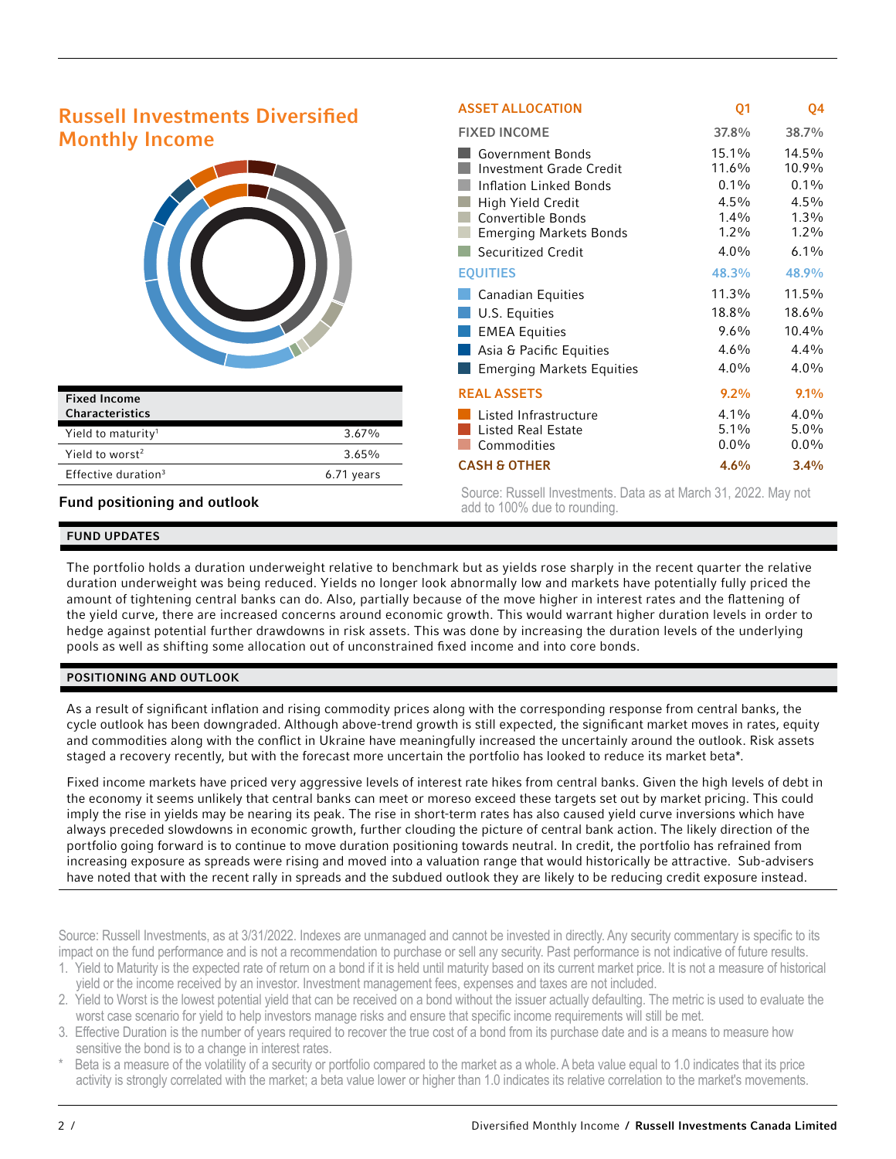| <b>Russell Investments Diversified</b>        | <b>ASSET ALLOCATION</b>                                                                                                                                                                     | Q <sub>1</sub>                                                        | Q4                                                                 |
|-----------------------------------------------|---------------------------------------------------------------------------------------------------------------------------------------------------------------------------------------------|-----------------------------------------------------------------------|--------------------------------------------------------------------|
|                                               | <b>FIXED INCOME</b>                                                                                                                                                                         | 37.8%                                                                 | 38.7%                                                              |
| <b>Monthly Income</b>                         | <b>Government Bonds</b><br><b>Investment Grade Credit</b><br><b>Inflation Linked Bonds</b><br>High Yield Credit<br>Convertible Bonds<br><b>Emerging Markets Bonds</b><br>Securitized Credit | 15.1%<br>11.6%<br>$0.1\%$<br>$4.5\%$<br>$1.4\%$<br>$1.2\%$<br>$4.0\%$ | 14.5%<br>10.9%<br>$0.1\%$<br>4.5%<br>$1.3\%$<br>$1.2\%$<br>$6.1\%$ |
|                                               | <b>EQUITIES</b>                                                                                                                                                                             | 48.3%                                                                 | 48.9%                                                              |
|                                               | <b>Canadian Equities</b>                                                                                                                                                                    | 11.3%                                                                 | 11.5%                                                              |
|                                               | U.S. Equities                                                                                                                                                                               | 18.8%                                                                 | 18.6%                                                              |
|                                               | <b>EMEA Equities</b>                                                                                                                                                                        | $9.6\%$                                                               | 10.4%                                                              |
|                                               | Asia & Pacific Equities                                                                                                                                                                     | $4.6\%$                                                               | 4.4%                                                               |
|                                               | <b>Emerging Markets Equities</b>                                                                                                                                                            | $4.0\%$                                                               | $4.0\%$                                                            |
| <b>Fixed Income</b>                           | <b>REAL ASSETS</b>                                                                                                                                                                          | $9.2\%$                                                               | $9.1\%$                                                            |
| Characteristics                               | Listed Infrastructure                                                                                                                                                                       | $4.1\%$                                                               | $4.0\%$                                                            |
| Yield to maturity <sup>1</sup><br>3.67%       | <b>Listed Real Estate</b>                                                                                                                                                                   | $5.1\%$                                                               | $5.0\%$                                                            |
| Yield to worst <sup>2</sup><br>3.65%          | Commodities                                                                                                                                                                                 | $0.0\%$                                                               | $0.0\%$                                                            |
| Effective duration <sup>3</sup><br>6.71 years | <b>CASH &amp; OTHER</b>                                                                                                                                                                     | 4.6%                                                                  | 3.4%                                                               |

Fund positioning and outlook

# Source: Russell Investments. Data as at March 31, 2022. May not add to 100% due to rounding.

## FUND UPDATES

The portfolio holds a duration underweight relative to benchmark but as yields rose sharply in the recent quarter the relative duration underweight was being reduced. Yields no longer look abnormally low and markets have potentially fully priced the amount of tightening central banks can do. Also, partially because of the move higher in interest rates and the flattening of the yield curve, there are increased concerns around economic growth. This would warrant higher duration levels in order to hedge against potential further drawdowns in risk assets. This was done by increasing the duration levels of the underlying pools as well as shifting some allocation out of unconstrained fixed income and into core bonds.

### POSITIONING AND OUTLOOK

As a result of significant inflation and rising commodity prices along with the corresponding response from central banks, the cycle outlook has been downgraded. Although above-trend growth is still expected, the significant market moves in rates, equity and commodities along with the conflict in Ukraine have meaningfully increased the uncertainly around the outlook. Risk assets staged a recovery recently, but with the forecast more uncertain the portfolio has looked to reduce its market beta\*.

Fixed income markets have priced very aggressive levels of interest rate hikes from central banks. Given the high levels of debt in the economy it seems unlikely that central banks can meet or moreso exceed these targets set out by market pricing. This could imply the rise in yields may be nearing its peak. The rise in short-term rates has also caused yield curve inversions which have always preceded slowdowns in economic growth, further clouding the picture of central bank action. The likely direction of the portfolio going forward is to continue to move duration positioning towards neutral. In credit, the portfolio has refrained from increasing exposure as spreads were rising and moved into a valuation range that would historically be attractive. Sub-advisers have noted that with the recent rally in spreads and the subdued outlook they are likely to be reducing credit exposure instead.

Source: Russell Investments, as at 3/31/2022. Indexes are unmanaged and cannot be invested in directly. Any security commentary is specific to its impact on the fund performance and is not a recommendation to purchase or sell any security. Past performance is not indicative of future results.

- 1. Yield to Maturity is the expected rate of return on a bond if it is held until maturity based on its current market price. It is not a measure of historical yield or the income received by an investor. Investment management fees, expenses and taxes are not included.
- 2. Yield to Worst is the lowest potential yield that can be received on a bond without the issuer actually defaulting. The metric is used to evaluate the worst case scenario for yield to help investors manage risks and ensure that specific income requirements will still be met.
- 3. Effective Duration is the number of years required to recover the true cost of a bond from its purchase date and is a means to measure how sensitive the bond is to a change in interest rates.
- Beta is a measure of the volatility of a security or portfolio compared to the market as a whole. A beta value equal to 1.0 indicates that its price activity is strongly correlated with the market; a beta value lower or higher than 1.0 indicates its relative correlation to the market's movements.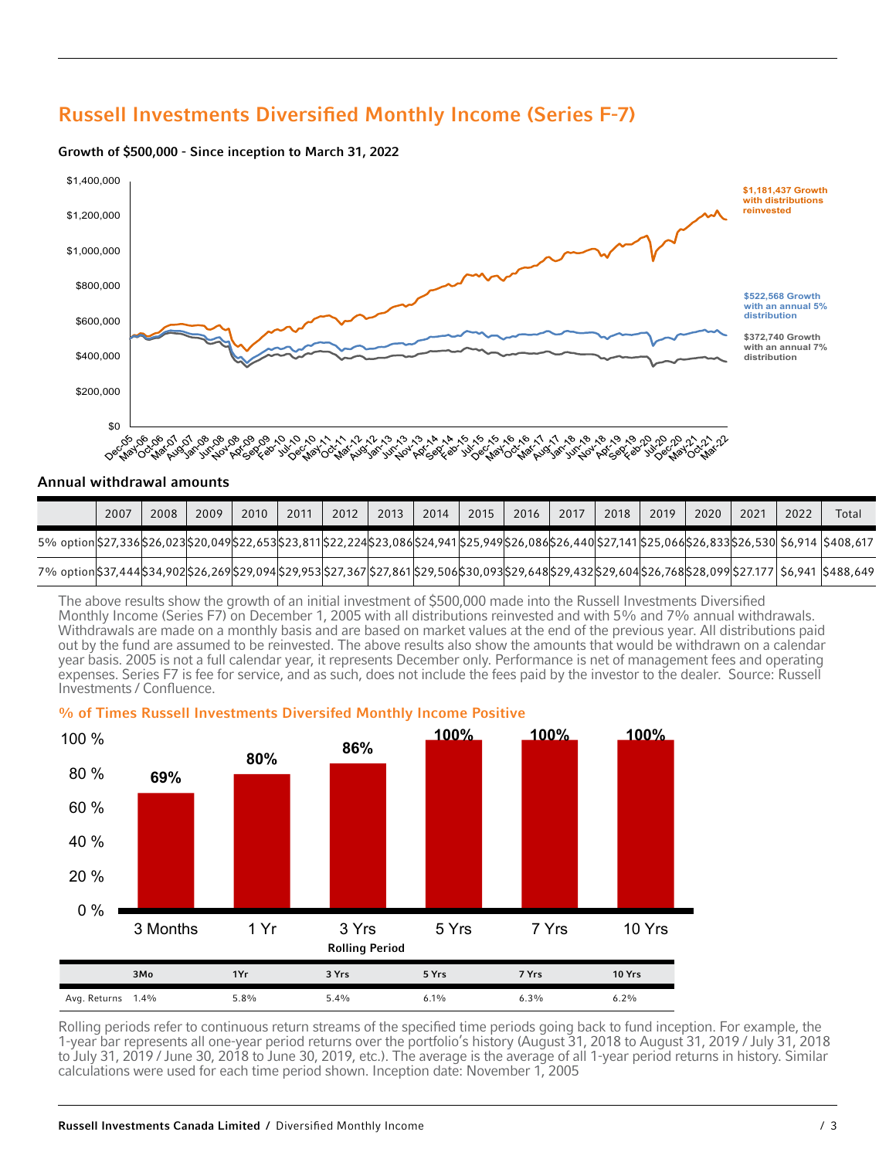# Russell Investments Diversified Monthly Income (Series F-7)



#### Growth of \$500,000 - Since inception to March 31, 2022

### Annual withdrawal amounts

|                                                                                                                                                                           | 2007 | 2008 | 2009 | 2010 | 2011 | 2012 | 2013 | 2014 | 2015 | 2016 | 2017 | 2018 | 2019 | 2020 | 2021 | 2022 | Total |
|---------------------------------------------------------------------------------------------------------------------------------------------------------------------------|------|------|------|------|------|------|------|------|------|------|------|------|------|------|------|------|-------|
| 5%, 5%, 530(\$26,833(\$26,023(\$20,049(\$22,653)\$23,811(\$22,224(\$23,086(\$24,941)\$25,949(\$26,086(\$26,440)\$27,141(\$25,066(\$26,833)\$26,530) \$6,914 (\$408,617 \$ |      |      |      |      |      |      |      |      |      |      |      |      |      |      |      |      |       |
| 7% option \$37,444 \$34,902 \$26,269 \$29,094 \$29,953 \$27,367 \$27,861 \$29,506 \$30,093 \$29,648 \$29,432 \$29,604 \$26,768 \$28,099 \$27.177  \$6,941  \$488,649      |      |      |      |      |      |      |      |      |      |      |      |      |      |      |      |      |       |

The above results show the growth of an initial investment of \$500,000 made into the Russell Investments Diversified Monthly Income (Series F7) on December 1, 2005 with all distributions reinvested and with 5% and 7% annual withdrawals. Withdrawals are made on a monthly basis and are based on market values at the end of the previous year. All distributions paid out by the fund are assumed to be reinvested. The above results also show the amounts that would be withdrawn on a calendar year basis. 2005 is not a full calendar year, it represents December only. Performance is net of management fees and operating expenses. Series F7 is fee for service, and as such, does not include the fees paid by the investor to the dealer. Source: Russell Investments / Confluence.



% of Times Russell Investments Diversifed Monthly Income Positive

Rolling periods refer to continuous return streams of the specified time periods going back to fund inception. For example, the 1-year bar represents all one-year period returns over the portfolio's history (August 31, 2018 to August 31, 2019 / July 31, 2018 to July 31, 2019 / June 30, 2018 to June 30, 2019, etc.). The average is the average of all 1-year period returns in history. Similar calculations were used for each time period shown. Inception date: November 1, 2005